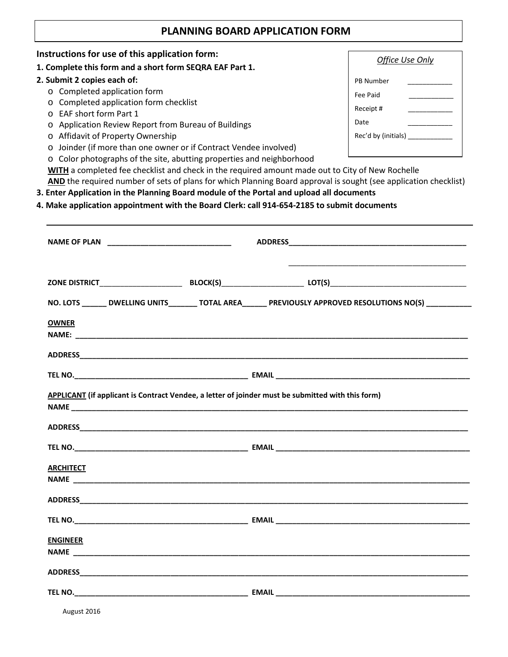## **PLANNING BOARD APPLICATION FORM**

| Instructions for use of this application form:                                                                                                                                                                                |                                                                                                                                                                                                                                          |                             |
|-------------------------------------------------------------------------------------------------------------------------------------------------------------------------------------------------------------------------------|------------------------------------------------------------------------------------------------------------------------------------------------------------------------------------------------------------------------------------------|-----------------------------|
| 1. Complete this form and a short form SEQRA EAF Part 1.                                                                                                                                                                      |                                                                                                                                                                                                                                          | Office Use Only             |
| 2. Submit 2 copies each of:                                                                                                                                                                                                   |                                                                                                                                                                                                                                          | PB Number                   |
| o Completed application form                                                                                                                                                                                                  |                                                                                                                                                                                                                                          | Fee Paid                    |
| o Completed application form checklist<br>o EAF short form Part 1<br>Application Review Report from Bureau of Buildings<br>$\circ$<br>o Affidavit of Property Ownership                                                       |                                                                                                                                                                                                                                          | Receipt # ______________    |
|                                                                                                                                                                                                                               |                                                                                                                                                                                                                                          | Date<br>Rec'd by (initials) |
|                                                                                                                                                                                                                               |                                                                                                                                                                                                                                          |                             |
| o Color photographs of the site, abutting properties and neighborhood                                                                                                                                                         |                                                                                                                                                                                                                                          |                             |
|                                                                                                                                                                                                                               | WITH a completed fee checklist and check in the required amount made out to City of New Rochelle                                                                                                                                         |                             |
|                                                                                                                                                                                                                               | AND the required number of sets of plans for which Planning Board approval is sought (see application checklist)                                                                                                                         |                             |
| 3. Enter Application in the Planning Board module of the Portal and upload all documents                                                                                                                                      |                                                                                                                                                                                                                                          |                             |
| 4. Make application appointment with the Board Clerk: call 914-654-2185 to submit documents                                                                                                                                   |                                                                                                                                                                                                                                          |                             |
|                                                                                                                                                                                                                               |                                                                                                                                                                                                                                          |                             |
|                                                                                                                                                                                                                               |                                                                                                                                                                                                                                          |                             |
|                                                                                                                                                                                                                               |                                                                                                                                                                                                                                          |                             |
|                                                                                                                                                                                                                               |                                                                                                                                                                                                                                          |                             |
|                                                                                                                                                                                                                               |                                                                                                                                                                                                                                          |                             |
|                                                                                                                                                                                                                               |                                                                                                                                                                                                                                          |                             |
|                                                                                                                                                                                                                               | NO. LOTS _______ DWELLING UNITS________ TOTAL AREA_______ PREVIOUSLY APPROVED RESOLUTIONS NO(S) __________                                                                                                                               |                             |
| <b>OWNER</b>                                                                                                                                                                                                                  |                                                                                                                                                                                                                                          |                             |
|                                                                                                                                                                                                                               | <b>NAME: <i>www.fractionarrows.com/internal/internal/internal/internal/internal/internal/internal/internal/internal/internal/internal/internal/internal/internal/internal/internal/internal/internal/internal/internal/internal/</i></b> |                             |
|                                                                                                                                                                                                                               |                                                                                                                                                                                                                                          |                             |
|                                                                                                                                                                                                                               |                                                                                                                                                                                                                                          |                             |
|                                                                                                                                                                                                                               |                                                                                                                                                                                                                                          |                             |
|                                                                                                                                                                                                                               |                                                                                                                                                                                                                                          |                             |
|                                                                                                                                                                                                                               | APPLICANT (if applicant is Contract Vendee, a letter of joinder must be submitted with this form)                                                                                                                                        |                             |
|                                                                                                                                                                                                                               |                                                                                                                                                                                                                                          |                             |
| ADDRESS ADDRESS AND A CONTROL CONTROL CONTROL CONTROL CONTROL CONTROL CONTROL CONTROL CONTROL CONTROL CONTROL CONTROL CONTROL CONTROL CONTROL CONTROL CONTROL CONTROL CONTROL CONTROL CONTROL CONTROL CONTROL CONTROL CONTROL |                                                                                                                                                                                                                                          |                             |
|                                                                                                                                                                                                                               |                                                                                                                                                                                                                                          |                             |
|                                                                                                                                                                                                                               |                                                                                                                                                                                                                                          |                             |
| <b>ARCHITECT</b>                                                                                                                                                                                                              |                                                                                                                                                                                                                                          |                             |
|                                                                                                                                                                                                                               |                                                                                                                                                                                                                                          |                             |
|                                                                                                                                                                                                                               |                                                                                                                                                                                                                                          |                             |
|                                                                                                                                                                                                                               |                                                                                                                                                                                                                                          |                             |
|                                                                                                                                                                                                                               |                                                                                                                                                                                                                                          |                             |
|                                                                                                                                                                                                                               |                                                                                                                                                                                                                                          |                             |
| <b>ENGINEER</b>                                                                                                                                                                                                               |                                                                                                                                                                                                                                          |                             |
|                                                                                                                                                                                                                               |                                                                                                                                                                                                                                          |                             |
|                                                                                                                                                                                                                               |                                                                                                                                                                                                                                          |                             |
|                                                                                                                                                                                                                               |                                                                                                                                                                                                                                          |                             |
|                                                                                                                                                                                                                               |                                                                                                                                                                                                                                          |                             |
|                                                                                                                                                                                                                               |                                                                                                                                                                                                                                          |                             |